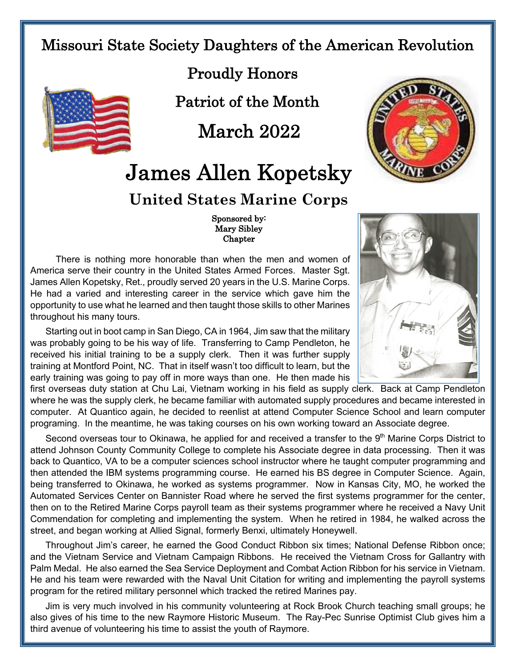## Missouri State Society Daughters of the American Revolution



Patriot of the Month

March 2022

## James Allen Kopetsky

## **United States Marine Corps**

## Sponsored by: Mary Sibley Chapter

 There is nothing more honorable than when the men and women of America serve their country in the United States Armed Forces. Master Sgt. James Allen Kopetsky, Ret., proudly served 20 years in the U.S. Marine Corps. He had a varied and interesting career in the service which gave him the opportunity to use what he learned and then taught those skills to other Marines throughout his many tours.

Starting out in boot camp in San Diego, CA in 1964, Jim saw that the military was probably going to be his way of life. Transferring to Camp Pendleton, he received his initial training to be a supply clerk. Then it was further supply training at Montford Point, NC. That in itself wasn't too difficult to learn, but the early training was going to pay off in more ways than one. He then made his

first overseas duty station at Chu Lai, Vietnam working in his field as supply clerk. Back at Camp Pendleton where he was the supply clerk, he became familiar with automated supply procedures and became interested in computer. At Quantico again, he decided to reenlist at attend Computer Science School and learn computer programing. In the meantime, he was taking courses on his own working toward an Associate degree.

Second overseas tour to Okinawa, he applied for and received a transfer to the 9<sup>th</sup> Marine Corps District to attend Johnson County Community College to complete his Associate degree in data processing. Then it was back to Quantico, VA to be a computer sciences school instructor where he taught computer programming and then attended the IBM systems programming course. He earned his BS degree in Computer Science. Again, being transferred to Okinawa, he worked as systems programmer. Now in Kansas City, MO, he worked the Automated Services Center on Bannister Road where he served the first systems programmer for the center, then on to the Retired Marine Corps payroll team as their systems programmer where he received a Navy Unit Commendation for completing and implementing the system. When he retired in 1984, he walked across the street, and began working at Allied Signal, formerly Benxi, ultimately Honeywell.

Throughout Jim's career, he earned the Good Conduct Ribbon six times; National Defense Ribbon once; and the Vietnam Service and Vietnam Campaign Ribbons. He received the Vietnam Cross for Gallantry with Palm Medal. He also earned the Sea Service Deployment and Combat Action Ribbon for his service in Vietnam. He and his team were rewarded with the Naval Unit Citation for writing and implementing the payroll systems program for the retired military personnel which tracked the retired Marines pay.

Jim is very much involved in his community volunteering at Rock Brook Church teaching small groups; he also gives of his time to the new Raymore Historic Museum. The Ray-Pec Sunrise Optimist Club gives him a third avenue of volunteering his time to assist the youth of Raymore.